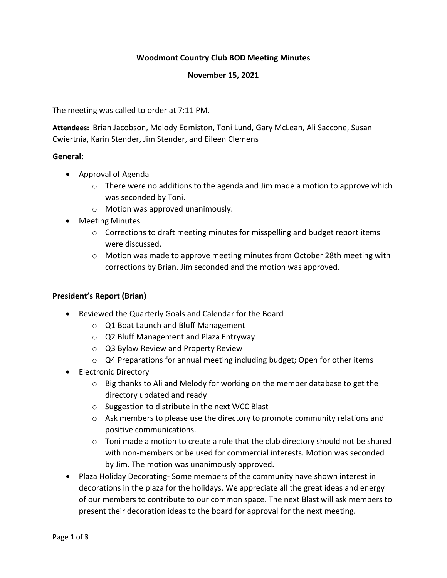# **Woodmont Country Club BOD Meeting Minutes**

#### **November 15, 2021**

The meeting was called to order at 7:11 PM.

**Attendees:** Brian Jacobson, Melody Edmiston, Toni Lund, Gary McLean, Ali Saccone, Susan Cwiertnia, Karin Stender, Jim Stender, and Eileen Clemens

## **General:**

- Approval of Agenda
	- $\circ$  There were no additions to the agenda and Jim made a motion to approve which was seconded by Toni.
	- o Motion was approved unanimously.
- Meeting Minutes
	- $\circ$  Corrections to draft meeting minutes for misspelling and budget report items were discussed.
	- o Motion was made to approve meeting minutes from October 28th meeting with corrections by Brian. Jim seconded and the motion was approved.

## **President's Report (Brian)**

- Reviewed the Quarterly Goals and Calendar for the Board
	- o Q1 Boat Launch and Bluff Management
	- o Q2 Bluff Management and Plaza Entryway
	- o Q3 Bylaw Review and Property Review
	- $\circ$  Q4 Preparations for annual meeting including budget; Open for other items
- Electronic Directory
	- $\circ$  Big thanks to Ali and Melody for working on the member database to get the directory updated and ready
	- o Suggestion to distribute in the next WCC Blast
	- $\circ$  Ask members to please use the directory to promote community relations and positive communications.
	- $\circ$  Toni made a motion to create a rule that the club directory should not be shared with non-members or be used for commercial interests. Motion was seconded by Jim. The motion was unanimously approved.
- Plaza Holiday Decorating- Some members of the community have shown interest in decorations in the plaza for the holidays. We appreciate all the great ideas and energy of our members to contribute to our common space. The next Blast will ask members to present their decoration ideas to the board for approval for the next meeting.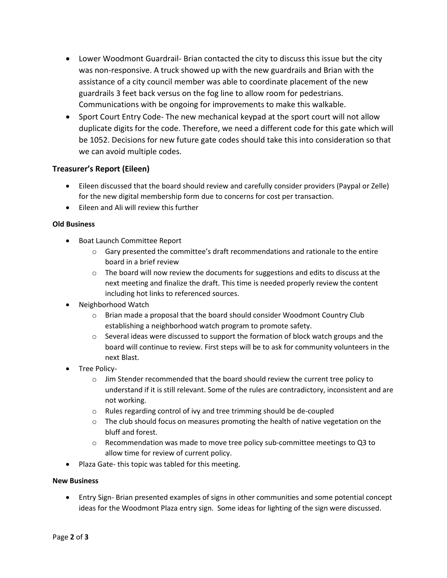- Lower Woodmont Guardrail- Brian contacted the city to discuss this issue but the city was non-responsive. A truck showed up with the new guardrails and Brian with the assistance of a city council member was able to coordinate placement of the new guardrails 3 feet back versus on the fog line to allow room for pedestrians. Communications with be ongoing for improvements to make this walkable.
- Sport Court Entry Code- The new mechanical keypad at the sport court will not allow duplicate digits for the code. Therefore, we need a different code for this gate which will be 1052. Decisions for new future gate codes should take this into consideration so that we can avoid multiple codes.

## **Treasurer's Report (Eileen)**

- Eileen discussed that the board should review and carefully consider providers (Paypal or Zelle) for the new digital membership form due to concerns for cost per transaction.
- Eileen and Ali will review this further

## **Old Business**

- Boat Launch Committee Report
	- $\circ$  Gary presented the committee's draft recommendations and rationale to the entire board in a brief review
	- $\circ$  The board will now review the documents for suggestions and edits to discuss at the next meeting and finalize the draft. This time is needed properly review the content including hot links to referenced sources.
- Neighborhood Watch
	- $\circ$  Brian made a proposal that the board should consider Woodmont Country Club establishing a neighborhood watch program to promote safety.
	- $\circ$  Several ideas were discussed to support the formation of block watch groups and the board will continue to review. First steps will be to ask for community volunteers in the next Blast.
- Tree Policy-
	- $\circ$  Jim Stender recommended that the board should review the current tree policy to understand if it is still relevant. Some of the rules are contradictory, inconsistent and are not working.
	- o Rules regarding control of ivy and tree trimming should be de-coupled
	- $\circ$  The club should focus on measures promoting the health of native vegetation on the bluff and forest.
	- $\circ$  Recommendation was made to move tree policy sub-committee meetings to Q3 to allow time for review of current policy.
- Plaza Gate- this topic was tabled for this meeting.

#### **New Business**

• Entry Sign- Brian presented examples of signs in other communities and some potential concept ideas for the Woodmont Plaza entry sign. Some ideas for lighting of the sign were discussed.